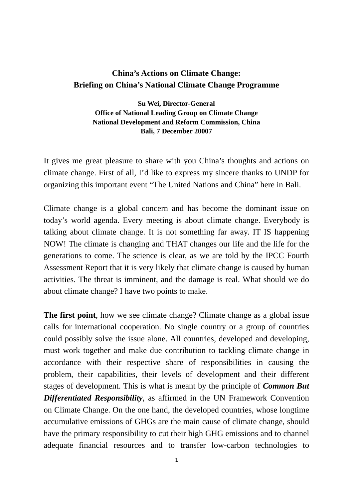## **China's Actions on Climate Change: Briefing on China's National Climate Change Programme**

## **Su Wei, Director-General Office of National Leading Group on Climate Change National Development and Reform Commission, China Bali, 7 December 20007**

It gives me great pleasure to share with you China's thoughts and actions on climate change. First of all, I'd like to express my sincere thanks to UNDP for organizing this important event "The United Nations and China" here in Bali.

Climate change is a global concern and has become the dominant issue on today's world agenda. Every meeting is about climate change. Everybody is talking about climate change. It is not something far away. IT IS happening NOW! The climate is changing and THAT changes our life and the life for the generations to come. The science is clear, as we are told by the IPCC Fourth Assessment Report that it is very likely that climate change is caused by human activities. The threat is imminent, and the damage is real. What should we do about climate change? I have two points to make.

**The first point**, how we see climate change? Climate change as a global issue calls for international cooperation. No single country or a group of countries could possibly solve the issue alone. All countries, developed and developing, must work together and make due contribution to tackling climate change in accordance with their respective share of responsibilities in causing the problem, their capabilities, their levels of development and their different stages of development. This is what is meant by the principle of *Common But Differentiated Responsibility*, as affirmed in the UN Framework Convention on Climate Change. On the one hand, the developed countries, whose longtime accumulative emissions of GHGs are the main cause of climate change, should have the primary responsibility to cut their high GHG emissions and to channel adequate financial resources and to transfer low-carbon technologies to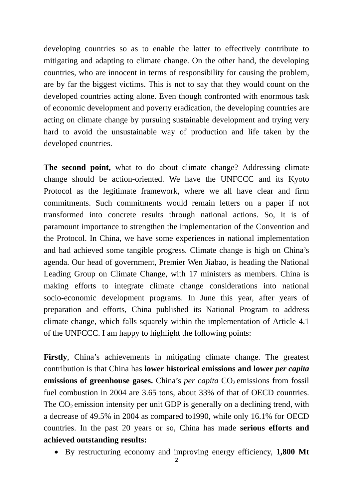developing countries so as to enable the latter to effectively contribute to mitigating and adapting to climate change. On the other hand, the developing countries, who are innocent in terms of responsibility for causing the problem, are by far the biggest victims. This is not to say that they would count on the developed countries acting alone. Even though confronted with enormous task of economic development and poverty eradication, the developing countries are acting on climate change by pursuing sustainable development and trying very hard to avoid the unsustainable way of production and life taken by the developed countries.

**The second point,** what to do about climate change? Addressing climate change should be action-oriented. We have the UNFCCC and its Kyoto Protocol as the legitimate framework, where we all have clear and firm commitments. Such commitments would remain letters on a paper if not transformed into concrete results through national actions. So, it is of paramount importance to strengthen the implementation of the Convention and the Protocol. In China, we have some experiences in national implementation and had achieved some tangible progress. Climate change is high on China's agenda. Our head of government, Premier Wen Jiabao, is heading the National Leading Group on Climate Change, with 17 ministers as members. China is making efforts to integrate climate change considerations into national socio-economic development programs. In June this year, after years of preparation and efforts, China published its National Program to address climate change, which falls squarely within the implementation of Article 4.1 of the UNFCCC. I am happy to highlight the following points:

Firstly, China's achievements in mitigating climate change. The greatest contribution is that China has **lower historical emissions and lower** *per capita* **emissions of greenhouse gases.** China's *per capita* CO<sub>2</sub> emissions from fossil fuel combustion in 2004 are 3.65 tons, about 33% of that of OECD countries. The  $CO<sub>2</sub>$  emission intensity per unit GDP is generally on a declining trend, with a decrease of 49.5% in 2004 as compared to1990, while only 16.1% for OECD countries. In the past 20 years or so, China has made **serious efforts and achieved outstanding results:** 

• By restructuring economy and improving energy efficiency, **1,800 Mt**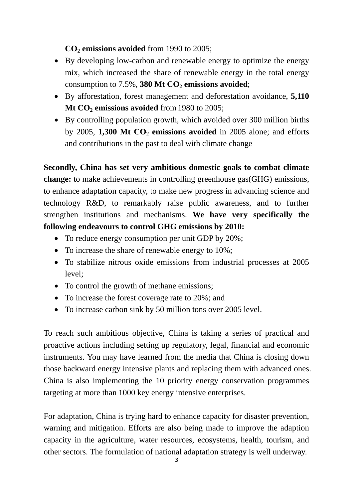## **CO2 emissions avoided** from 1990 to 2005;

- By developing low-carbon and renewable energy to optimize the energy mix, which increased the share of renewable energy in the total energy consumption to  $7.5\%$ , 380 Mt  $CO<sub>2</sub>$  emissions avoided;
- By afforestation, forest management and deforestation avoidance, **5,110**  Mt CO<sub>2</sub> emissions avoided from 1980 to 2005;
- By controlling population growth, which avoided over 300 million births by 2005, **1,300 Mt CO<sub>2</sub> emissions avoided** in 2005 alone; and efforts and contributions in the past to deal with climate change

**Secondly, China has set very ambitious domestic goals to combat climate change:** to make achievements in controlling greenhouse gas(GHG) emissions, to enhance adaptation capacity, to make new progress in advancing science and technology R&D, to remarkably raise public awareness, and to further strengthen institutions and mechanisms. **We have very specifically the following endeavours to control GHG emissions by 2010:** 

- To reduce energy consumption per unit GDP by 20%;
- To increase the share of renewable energy to 10%;
- To stabilize nitrous oxide emissions from industrial processes at 2005 level;
- To control the growth of methane emissions;
- To increase the forest coverage rate to 20%; and
- To increase carbon sink by 50 million tons over 2005 level.

To reach such ambitious objective, China is taking a series of practical and proactive actions including setting up regulatory, legal, financial and economic instruments. You may have learned from the media that China is closing down those backward energy intensive plants and replacing them with advanced ones. China is also implementing the 10 priority energy conservation programmes targeting at more than 1000 key energy intensive enterprises.

For adaptation, China is trying hard to enhance capacity for disaster prevention, warning and mitigation. Efforts are also being made to improve the adaption capacity in the agriculture, water resources, ecosystems, health, tourism, and other sectors. The formulation of national adaptation strategy is well underway.